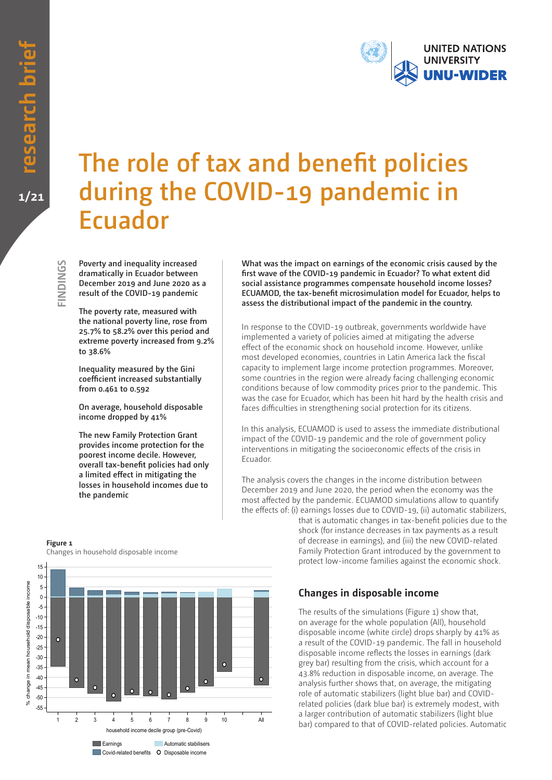**FINDINGS**

FINDINGS



# **The role of tax and benefit policies during the COVID-19 pandemic in Ecuador**

**Poverty and inequality increased dramatically in Ecuador between December 2019 and June 2020 as a result of the COVID-19 pandemic**

**The poverty rate, measured with the national poverty line, rose from 25.7% to 58.2% over this period and extreme poverty increased from 9.2% to 38.6%**

**Inequality measured by the Gini coefficient increased substantially from 0.461 to 0.592**

**On average, household disposable income dropped by 41%**

**The new Family Protection Grant provides income protection for the poorest income decile. However, overall tax-benefit policies had only a limited effect in mitigating the losses in household incomes due to the pandemic**

**What was the impact on earnings of the economic crisis caused by the first wave of the COVID-19 pandemic in Ecuador? To what extent did social assistance programmes compensate household income losses? ECUAMOD, the tax-benefit microsimulation model for Ecuador, helps to assess the distributional impact of the pandemic in the country.**

In response to the COVID-19 outbreak, governments worldwide have implemented a variety of policies aimed at mitigating the adverse effect of the economic shock on household income. However, unlike most developed economies, countries in Latin America lack the fiscal capacity to implement large income protection programmes. Moreover, some countries in the region were already facing challenging economic conditions because of low commodity prices prior to the pandemic. This was the case for Ecuador, which has been hit hard by the health crisis and faces difficulties in strengthening social protection for its citizens.

In this analysis, ECUAMOD is used to assess the immediate distributional impact of the COVID-19 pandemic and the role of government policy interventions in mitigating the socioeconomic effects of the crisis in Ecuador.

The analysis covers the changes in the income distribution between December 2019 and June 2020, the period when the economy was the most affected by the pandemic. ECUAMOD simulations allow to quantify the effects of: (i) earnings losses due to COVID-19, (ii) automatic stabilizers,

that is automatic changes in tax-benefit policies due to the shock (for instance decreases in tax payments as a result of decrease in earnings), and (iii) the new COVID-related Family Protection Grant introduced by the government to protect low-income families against the economic shock.

## **Changes in disposable income**

The results of the simulations (Figure 1) show that, on average for the whole population (All), household disposable income (white circle) drops sharply by 41% as a result of the COVID-19 pandemic. The fall in household disposable income reflects the losses in earnings (dark grey bar) resulting from the crisis, which account for a 43.8% reduction in disposable income, on average. The analysis further shows that, on average, the mitigating role of automatic stabilizers (light blue bar) and COVIDrelated policies (dark blue bar) is extremely modest, with a larger contribution of automatic stabilizers (light blue bar) compared to that of COVID-related policies. Automatic

### **Figure 1** Changes in household disposable income